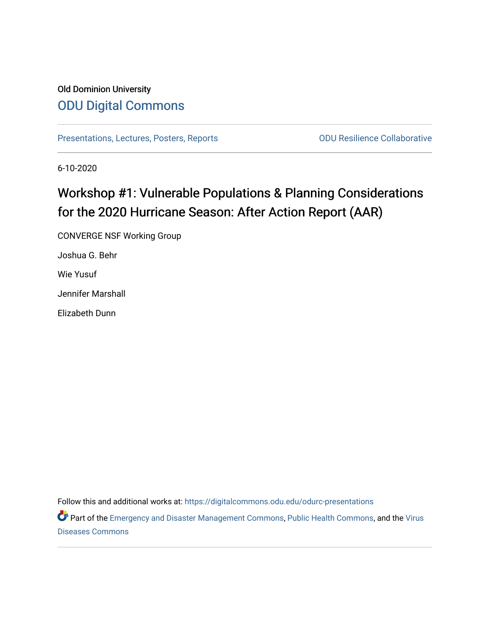# Old Dominion University [ODU Digital Commons](https://digitalcommons.odu.edu/)

[Presentations, Lectures, Posters, Reports](https://digitalcommons.odu.edu/odurc-presentations) **COLLAGGE COLLACTE COLLACTE COLLACTE COLLACTE COLLACTE COLLACTE COLL** 

6-10-2020

# Workshop #1: Vulnerable Populations & Planning Considerations for the 2020 Hurricane Season: After Action Report (AAR)

CONVERGE NSF Working Group

Joshua G. Behr

Wie Yusuf

Jennifer Marshall

Elizabeth Dunn

Follow this and additional works at: [https://digitalcommons.odu.edu/odurc-presentations](https://digitalcommons.odu.edu/odurc-presentations?utm_source=digitalcommons.odu.edu%2Fodurc-presentations%2F20&utm_medium=PDF&utm_campaign=PDFCoverPages)

Part of the [Emergency and Disaster Management Commons,](http://network.bepress.com/hgg/discipline/1321?utm_source=digitalcommons.odu.edu%2Fodurc-presentations%2F20&utm_medium=PDF&utm_campaign=PDFCoverPages) [Public Health Commons,](http://network.bepress.com/hgg/discipline/738?utm_source=digitalcommons.odu.edu%2Fodurc-presentations%2F20&utm_medium=PDF&utm_campaign=PDFCoverPages) and the Virus [Diseases Commons](http://network.bepress.com/hgg/discipline/998?utm_source=digitalcommons.odu.edu%2Fodurc-presentations%2F20&utm_medium=PDF&utm_campaign=PDFCoverPages)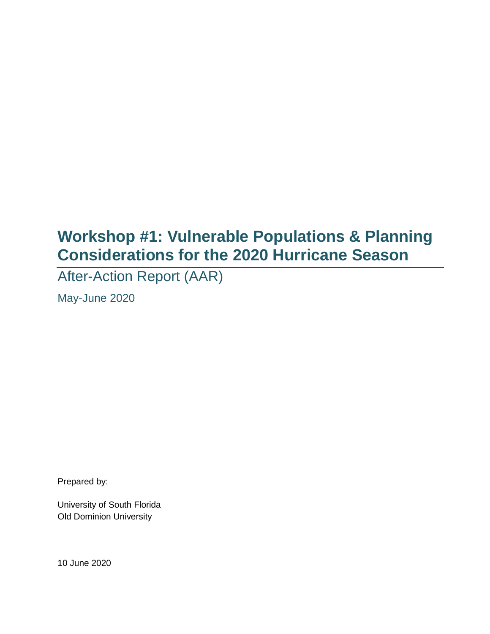# **Workshop #1: Vulnerable Populations & Planning Considerations for the 2020 Hurricane Season**

After-Action Report (AAR)

May-June 2020

Prepared by:

University of South Florida Old Dominion University

10 June 2020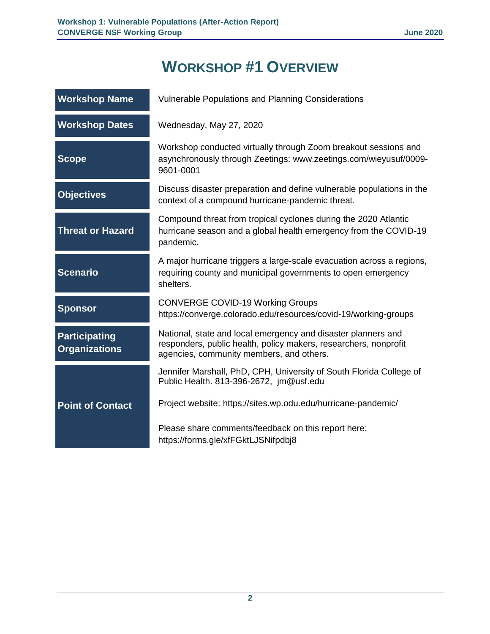# **WORKSHOP #1 OVERVIEW**

| <b>Workshop Name</b>                         | Vulnerable Populations and Planning Considerations                                                                                                                            |  |
|----------------------------------------------|-------------------------------------------------------------------------------------------------------------------------------------------------------------------------------|--|
| <b>Workshop Dates</b>                        | Wednesday, May 27, 2020                                                                                                                                                       |  |
| <b>Scope</b>                                 | Workshop conducted virtually through Zoom breakout sessions and<br>asynchronously through Zeetings: www.zeetings.com/wieyusuf/0009-<br>9601-0001                              |  |
| <b>Objectives</b>                            | Discuss disaster preparation and define vulnerable populations in the<br>context of a compound hurricane-pandemic threat.                                                     |  |
| <b>Threat or Hazard</b>                      | Compound threat from tropical cyclones during the 2020 Atlantic<br>hurricane season and a global health emergency from the COVID-19<br>pandemic.                              |  |
| <b>Scenario</b>                              | A major hurricane triggers a large-scale evacuation across a regions,<br>requiring county and municipal governments to open emergency<br>shelters.                            |  |
| <b>Sponsor</b>                               | <b>CONVERGE COVID-19 Working Groups</b><br>https://converge.colorado.edu/resources/covid-19/working-groups                                                                    |  |
| <b>Participating</b><br><b>Organizations</b> | National, state and local emergency and disaster planners and<br>responders, public health, policy makers, researchers, nonprofit<br>agencies, community members, and others. |  |
|                                              | Jennifer Marshall, PhD, CPH, University of South Florida College of<br>Public Health. 813-396-2672, jm@usf.edu                                                                |  |
| <b>Point of Contact</b>                      | Project website: https://sites.wp.odu.edu/hurricane-pandemic/                                                                                                                 |  |
|                                              | Please share comments/feedback on this report here:<br>https://forms.gle/xfFGktLJSNifpdbj8                                                                                    |  |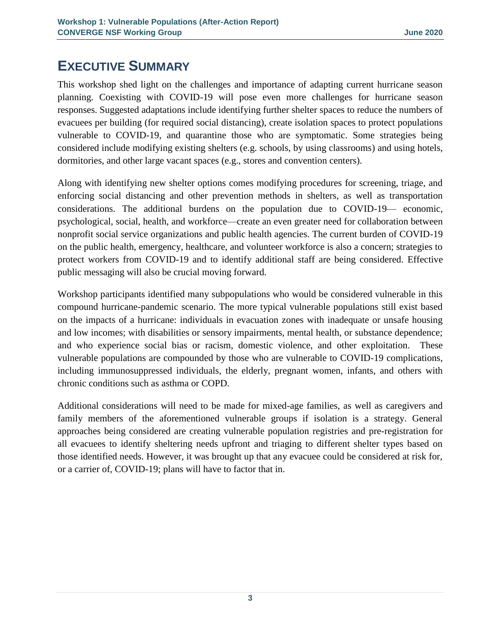# **EXECUTIVE SUMMARY**

This workshop shed light on the challenges and importance of adapting current hurricane season planning. Coexisting with COVID-19 will pose even more challenges for hurricane season responses. Suggested adaptations include identifying further shelter spaces to reduce the numbers of evacuees per building (for required social distancing), create isolation spaces to protect populations vulnerable to COVID-19, and quarantine those who are symptomatic. Some strategies being considered include modifying existing shelters (e.g. schools, by using classrooms) and using hotels, dormitories, and other large vacant spaces (e.g., stores and convention centers).

Along with identifying new shelter options comes modifying procedures for screening, triage, and enforcing social distancing and other prevention methods in shelters, as well as transportation considerations. The additional burdens on the population due to COVID-19— economic, psychological, social, health, and workforce—create an even greater need for collaboration between nonprofit social service organizations and public health agencies. The current burden of COVID-19 on the public health, emergency, healthcare, and volunteer workforce is also a concern; strategies to protect workers from COVID-19 and to identify additional staff are being considered. Effective public messaging will also be crucial moving forward.

Workshop participants identified many subpopulations who would be considered vulnerable in this compound hurricane-pandemic scenario. The more typical vulnerable populations still exist based on the impacts of a hurricane: individuals in evacuation zones with inadequate or unsafe housing and low incomes; with disabilities or sensory impairments, mental health, or substance dependence; and who experience social bias or racism, domestic violence, and other exploitation. These vulnerable populations are compounded by those who are vulnerable to COVID-19 complications, including immunosuppressed individuals, the elderly, pregnant women, infants, and others with chronic conditions such as asthma or COPD.

Additional considerations will need to be made for mixed-age families, as well as caregivers and family members of the aforementioned vulnerable groups if isolation is a strategy. General approaches being considered are creating vulnerable population registries and pre-registration for all evacuees to identify sheltering needs upfront and triaging to different shelter types based on those identified needs. However, it was brought up that any evacuee could be considered at risk for, or a carrier of, COVID-19; plans will have to factor that in.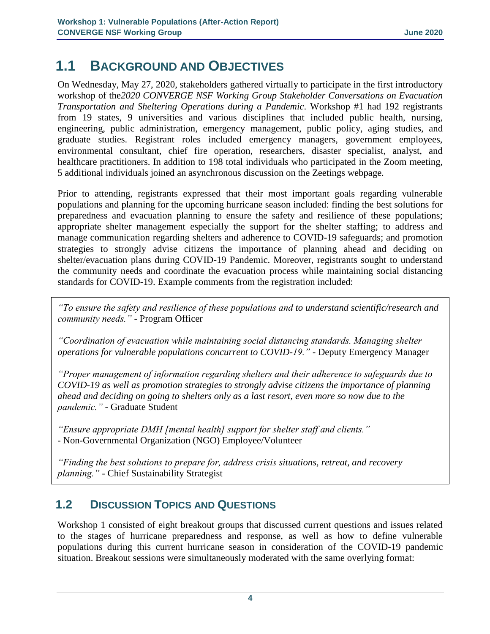# **1.1 BACKGROUND AND OBJECTIVES**

On Wednesday, May 27, 2020, stakeholders gathered virtually to participate in the first introductory workshop of the*2020 CONVERGE NSF Working Group Stakeholder Conversations on Evacuation Transportation and Sheltering Operations during a Pandemic*. Workshop #1 had 192 registrants from 19 states, 9 universities and various disciplines that included public health, nursing, engineering, public administration, emergency management, public policy, aging studies, and graduate studies. Registrant roles included emergency managers, government employees, environmental consultant, chief fire operation, researchers, disaster specialist, analyst, and healthcare practitioners. In addition to 198 total individuals who participated in the Zoom meeting, 5 additional individuals joined an asynchronous discussion on the Zeetings webpage.

Prior to attending, registrants expressed that their most important goals regarding vulnerable populations and planning for the upcoming hurricane season included: finding the best solutions for preparedness and evacuation planning to ensure the safety and resilience of these populations; appropriate shelter management especially the support for the shelter staffing; to address and manage communication regarding shelters and adherence to COVID-19 safeguards; and promotion strategies to strongly advise citizens the importance of planning ahead and deciding on shelter/evacuation plans during COVID-19 Pandemic. Moreover, registrants sought to understand the community needs and coordinate the evacuation process while maintaining social distancing standards for COVID-19. Example comments from the registration included:

*"To ensure the safety and resilience of these populations and to understand scientific/research and community needs."* - Program Officer

*"Coordination of evacuation while maintaining social distancing standards. Managing shelter operations for vulnerable populations concurrent to COVID-19."* - Deputy Emergency Manager

*"Proper management of information regarding shelters and their adherence to safeguards due to COVID-19 as well as promotion strategies to strongly advise citizens the importance of planning ahead and deciding on going to shelters only as a last resort, even more so now due to the pandemic."* - Graduate Student

*"Ensure appropriate DMH [mental health] support for shelter staff and clients."* - Non-Governmental Organization (NGO) Employee/Volunteer

*"Finding the best solutions to prepare for, address crisis situations, retreat, and recovery planning."* - Chief Sustainability Strategist

# **1.2 DISCUSSION TOPICS AND QUESTIONS**

Workshop 1 consisted of eight breakout groups that discussed current questions and issues related to the stages of hurricane preparedness and response, as well as how to define vulnerable populations during this current hurricane season in consideration of the COVID-19 pandemic situation. Breakout sessions were simultaneously moderated with the same overlying format: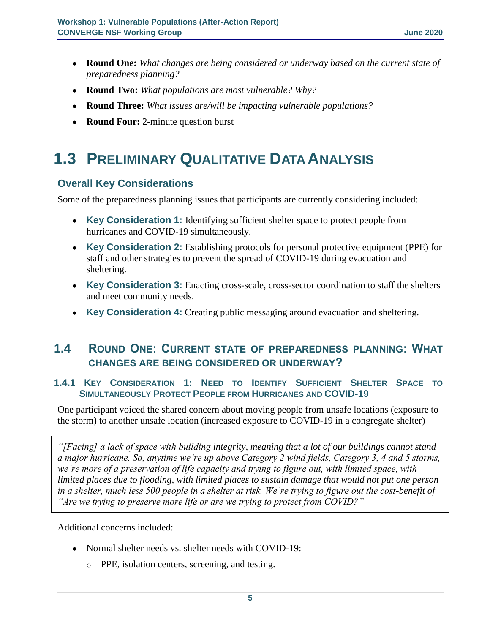- **Round One:** *What changes are being considered or underway based on the current state of preparedness planning?*
- **Round Two:** *What populations are most vulnerable? Why?*
- **Round Three:** *What issues are/will be impacting vulnerable populations?*
- **Round Four:** 2-minute question burst

# **1.3 PRELIMINARY QUALITATIVE DATA ANALYSIS**

### **Overall Key Considerations**

Some of the preparedness planning issues that participants are currently considering included:

- **Key Consideration 1:** Identifying sufficient shelter space to protect people from hurricanes and COVID-19 simultaneously.
- **Key Consideration 2:** Establishing protocols for personal protective equipment (PPE) for staff and other strategies to prevent the spread of COVID-19 during evacuation and sheltering.
- Key Consideration 3: Enacting cross-scale, cross-sector coordination to staff the shelters and meet community needs.
- **Key Consideration 4:** Creating public messaging around evacuation and sheltering.

# **1.4 ROUND ONE: CURRENT STATE OF PREPAREDNESS PLANNING: WHAT CHANGES ARE BEING CONSIDERED OR UNDERWAY?**

#### **1.4.1 KEY CONSIDERATION 1: NEED TO IDENTIFY SUFFICIENT SHELTER SPACE TO SIMULTANEOUSLY PROTECT PEOPLE FROM HURRICANES AND COVID-19**

One participant voiced the shared concern about moving people from unsafe locations (exposure to the storm) to another unsafe location (increased exposure to COVID-19 in a congregate shelter)

*"[Facing] a lack of space with building integrity, meaning that a lot of our buildings cannot stand a major hurricane. So, anytime we're up above Category 2 wind fields, Category 3, 4 and 5 storms, we're more of a preservation of life capacity and trying to figure out, with limited space, with limited places due to flooding, with limited places to sustain damage that would not put one person in a shelter, much less 500 people in a shelter at risk. We're trying to figure out the cost-benefit of "Are we trying to preserve more life or are we trying to protect from COVID?"*

Additional concerns included:

- Normal shelter needs vs. shelter needs with COVID-19:
	- o PPE, isolation centers, screening, and testing.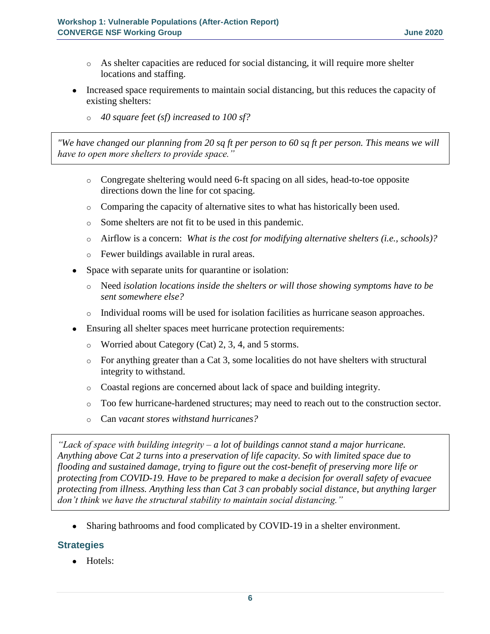- o As shelter capacities are reduced for social distancing, it will require more shelter locations and staffing.
- Increased space requirements to maintain social distancing, but this reduces the capacity of existing shelters:
	- o *40 square feet (sf) increased to 100 sf?*

*"We have changed our planning from 20 sq ft per person to 60 sq ft per person. This means we will have to open more shelters to provide space."* 

- o Congregate sheltering would need 6-ft spacing on all sides, head-to-toe opposite directions down the line for cot spacing.
- o Comparing the capacity of alternative sites to what has historically been used.
- o Some shelters are not fit to be used in this pandemic.
- o Airflow is a concern: *What is the cost for modifying alternative shelters (i.e., schools)?*
- o Fewer buildings available in rural areas.
- Space with separate units for quarantine or isolation:
	- o Need *isolation locations inside the shelters or will those showing symptoms have to be sent somewhere else?*
	- o Individual rooms will be used for isolation facilities as hurricane season approaches.
- Ensuring all shelter spaces meet hurricane protection requirements:
	- o Worried about Category (Cat) 2, 3, 4, and 5 storms.
	- $\circ$  For anything greater than a Cat 3, some localities do not have shelters with structural integrity to withstand.
	- o Coastal regions are concerned about lack of space and building integrity.
	- o Too few hurricane-hardened structures; may need to reach out to the construction sector.
	- o Can *vacant stores withstand hurricanes?*

*"Lack of space with building integrity – a lot of buildings cannot stand a major hurricane. Anything above Cat 2 turns into a preservation of life capacity. So with limited space due to flooding and sustained damage, trying to figure out the cost-benefit of preserving more life or protecting from COVID-19. Have to be prepared to make a decision for overall safety of evacuee protecting from illness. Anything less than Cat 3 can probably social distance, but anything larger don't think we have the structural stability to maintain social distancing."*

• Sharing bathrooms and food complicated by COVID-19 in a shelter environment.

# **Strategies**

● Hotels: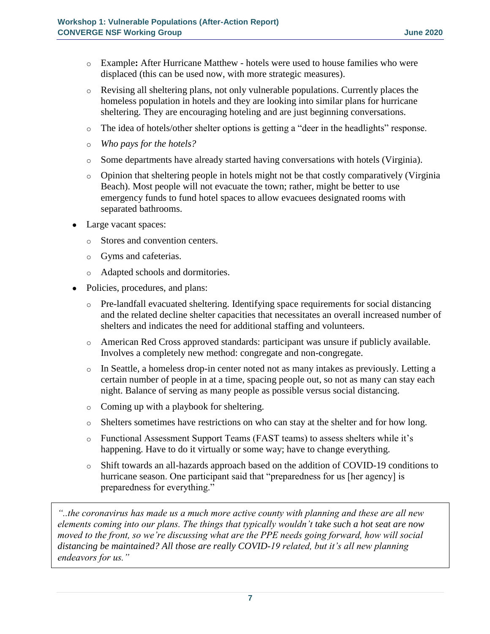- o Example**:** After Hurricane Matthew hotels were used to house families who were displaced (this can be used now, with more strategic measures).
- o Revising all sheltering plans, not only vulnerable populations. Currently places the homeless population in hotels and they are looking into similar plans for hurricane sheltering. They are encouraging hoteling and are just beginning conversations.
- o The idea of hotels/other shelter options is getting a "deer in the headlights" response.
- o *Who pays for the hotels?*
- o Some departments have already started having conversations with hotels (Virginia).
- o Opinion that sheltering people in hotels might not be that costly comparatively (Virginia Beach). Most people will not evacuate the town; rather, might be better to use emergency funds to fund hotel spaces to allow evacuees designated rooms with separated bathrooms.
- Large vacant spaces:
	- o Stores and convention centers.
	- o Gyms and cafeterias.
	- o Adapted schools and dormitories.
- Policies, procedures, and plans:
	- o Pre-landfall evacuated sheltering. Identifying space requirements for social distancing and the related decline shelter capacities that necessitates an overall increased number of shelters and indicates the need for additional staffing and volunteers.
	- o American Red Cross approved standards: participant was unsure if publicly available. Involves a completely new method: congregate and non-congregate.
	- o In Seattle, a homeless drop-in center noted not as many intakes as previously. Letting a certain number of people in at a time, spacing people out, so not as many can stay each night. Balance of serving as many people as possible versus social distancing.
	- o Coming up with a playbook for sheltering.
	- o Shelters sometimes have restrictions on who can stay at the shelter and for how long.
	- o Functional Assessment Support Teams (FAST teams) to assess shelters while it's happening. Have to do it virtually or some way; have to change everything.
	- o Shift towards an all-hazards approach based on the addition of COVID-19 conditions to hurricane season. One participant said that "preparedness for us [her agency] is preparedness for everything."

*"..the coronavirus has made us a much more active county with planning and these are all new elements coming into our plans. The things that typically wouldn't take such a hot seat are now moved to the front, so we're discussing what are the PPE needs going forward, how will social distancing be maintained? All those are really COVID-19 related, but it's all new planning endeavors for us."*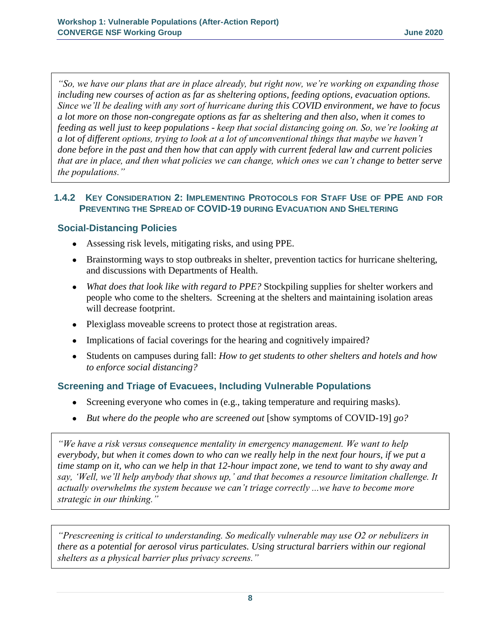*"So, we have our plans that are in place already, but right now, we're working on expanding those including new courses of action as far as sheltering options, feeding options, evacuation options. Since we'll be dealing with any sort of hurricane during this COVID environment, we have to focus a lot more on those non-congregate options as far as sheltering and then also, when it comes to feeding as well just to keep populations - keep that social distancing going on. So, we're looking at a lot of different options, trying to look at a lot of unconventional things that maybe we haven't done before in the past and then how that can apply with current federal law and current policies that are in place, and then what policies we can change, which ones we can't change [t](https://recordings.civi.com/cgi-bin/player.php?file=Breakout%202%20Dunn.mp3&starttime=789&duration=20)o better serve the populations."*

#### **1.4.2 KEY CONSIDERATION 2: IMPLEMENTING PROTOCOLS FOR STAFF USE OF PPE AND FOR PREVENTING THE SPREAD OF COVID-19 DURING EVACUATION AND SHELTERING**

# **Social-Distancing Policies**

- Assessing risk levels, mitigating risks, and using PPE.
- Brainstorming ways to stop outbreaks in shelter, prevention tactics for hurricane sheltering, and discussions with Departments of Health.
- *What does that look like with regard to PPE?* Stockpiling supplies for shelter workers and people who come to the shelters. Screening at the shelters and maintaining isolation areas will decrease footprint.
- Plexiglass moveable screens to protect those at registration areas.
- Implications of facial coverings for the hearing and cognitively impaired?
- Students on campuses during fall: *How to get students to other shelters and hotels and how to enforce social distancing?*

# **Screening and Triage of Evacuees, Including Vulnerable Populations**

- Screening everyone who comes in (e.g., taking temperature and requiring masks).
- *But where do the people who are screened out* [show symptoms of COVID-19] *go?*

*"We have a risk versus consequence mentality in emergency management. We want to help everybody, but when it comes down to who can we really help in the next four hours, if we put a time stamp on it, who can we help in that 12-hour impact zone, we tend to want to shy away and say, 'Well, we'll help anybody that shows up,' and that becomes a resource limitation challenge. It actually overwhelms the system because we can't triage correctly ...we have to become more strategic in our thinking."*

*"Prescreening is critical to understanding. So medically vulnerable may use O2 or nebulizers in there as a potential for aerosol virus particulates. Using structural barriers within our regional shelters as a physical barrier plus privacy screens."*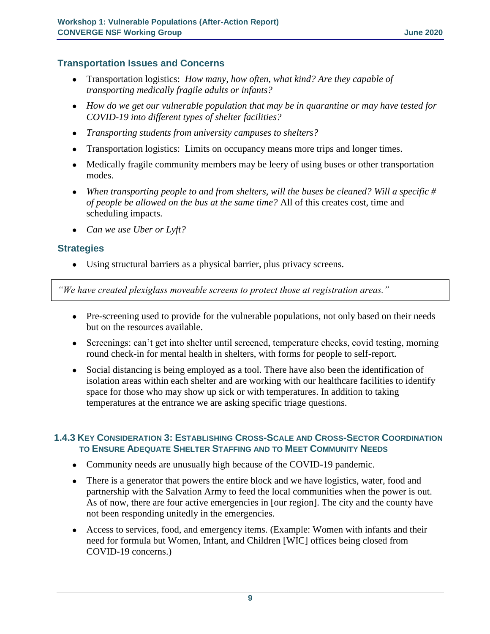#### **Transportation Issues and Concerns**

- Transportation logistics: *How many, how often, what kind? Are they capable of transporting medically fragile adults or infants?*
- How do we get our vulnerable population that may be in quarantine or may have tested for *COVID-19 into different types of shelter facilities?*
- *Transporting students from university campuses to shelters?*
- Transportation logistics: Limits on occupancy means more trips and longer times.
- Medically fragile community members may be leery of using buses or other transportation modes.
- *When transporting people to and from shelters, will the buses be cleaned? Will a specific # of people be allowed on the bus at the same time?* All of this creates cost, time and scheduling impacts.
- *Can we use Uber or Lyft?*

#### **Strategies**

● Using structural barriers as a physical barrier, plus privacy screens.

*"We have created plexiglass moveable screens to protect those at registration areas."*

- Pre-screening used to provide for the vulnerable populations, not only based on their needs but on the resources available.
- Screenings: can't get into shelter until screened, temperature checks, covid testing, morning round check-in for mental health in shelters, with forms for people to self-report.
- Social distancing is being employed as a tool. There have also been the identification of isolation areas within each shelter and are working with our healthcare facilities to identify space for those who may show up sick or with temperatures. In addition to taking temperatures at the entrance we are asking specific triage questions.

#### **1.4.3 KEY CONSIDERATION 3: ESTABLISHING CROSS-SCALE AND CROSS-SECTOR COORDINATION TO ENSURE ADEQUATE SHELTER STAFFING AND TO MEET COMMUNITY NEEDS**

- Community needs are unusually high because of the COVID-19 pandemic.
- There is a generator that powers the entire block and we have logistics, water, food and partnership with the Salvation Army to feed the local communities when the power is out. As of now, there are four active emergencies in [our region]. The city and the county have not been responding unitedly in the emergencies.
- Access to services, food, and emergency items. (Example: Women with infants and their need for formula but Women, Infant, and Children [WIC] offices being closed from COVID-19 concerns.)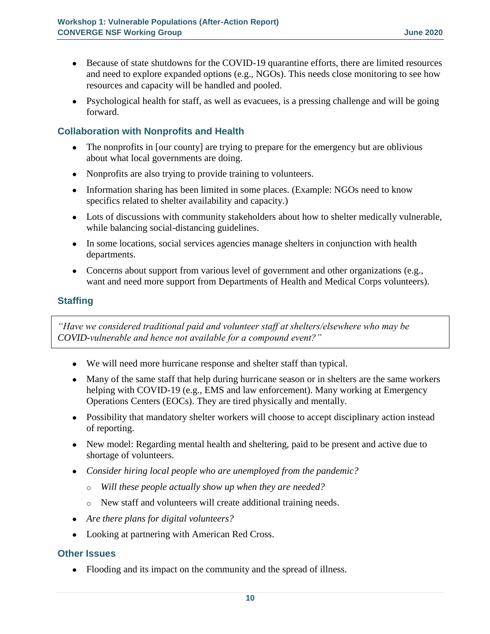- Because of state shutdowns for the COVID-19 quarantine efforts, there are limited resources and need to explore expanded options (e.g., NGOs). This needs close monitoring to see how resources and capacity will be handled and pooled.
- Psychological health for staff, as well as evacuees, is a pressing challenge and will be going forward.

# **Collaboration with Nonprofits and Health**

- The nonprofits in [our county] are trying to prepare for the emergency but are oblivious about what local governments are doing.
- Nonprofits are also trying to provide training to volunteers.
- Information sharing has been limited in some places. (Example: NGOs need to know specifics related to shelter availability and capacity.)
- Lots of discussions with community stakeholders about how to shelter medically vulnerable, while balancing social-distancing guidelines.
- In some locations, social services agencies manage shelters in conjunction with health departments.
- Concerns about support from various level of government and other organizations (e.g., want and need more support from Departments of Health and Medical Corps volunteers).

# **Staffing**

*"Have we considered traditional paid and volunteer staff at shelters/elsewhere who may be COVID-vulnerable and hence not available for a compound event?"*

- We will need more hurricane response and shelter staff than typical.
- Many of the same staff that help during hurricane season or in shelters are the same workers helping with COVID-19 (e.g., EMS and law enforcement). Many working at Emergency Operations Centers (EOCs). They are tired physically and mentally.
- Possibility that mandatory shelter workers will choose to accept disciplinary action instead of reporting.
- New model: Regarding mental health and sheltering, paid to be present and active due to shortage of volunteers.
- *Consider hiring local people who are unemployed from the pandemic?*
	- o *Will these people actually show up when they are needed?*
	- o New staff and volunteers will create additional training needs.
- *Are there plans for digital volunteers?*
- Looking at partnering with American Red Cross.

# **Other Issues**

• Flooding and its impact on the community and the spread of illness.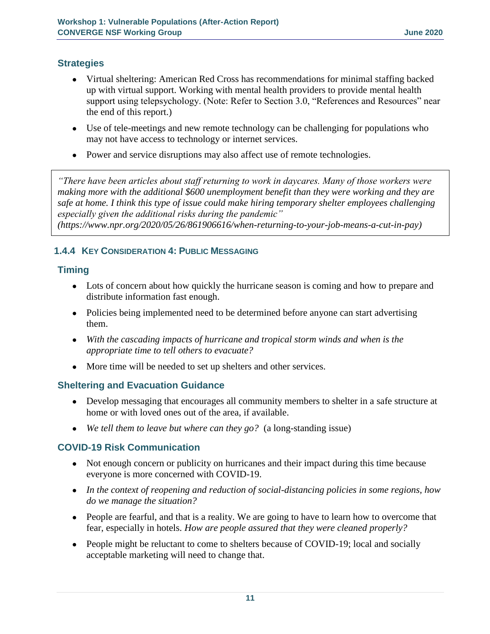### **Strategies**

- Virtual sheltering: American Red Cross has recommendations for minimal staffing backed up with virtual support. Working with mental health providers to provide mental health support using telepsychology. (Note: Refer to Section 3.0, "References and Resources" near the end of this report.)
- Use of tele-meetings and new remote technology can be challenging for populations who may not have access to technology or internet services.
- Power and service disruptions may also affect use of remote technologies.

*"There have been articles about staff returning to work in daycares. Many of those workers were making more with the additional \$600 unemployment benefit than they were working and they are safe at home. I think this type of issue could make hiring temporary shelter employees challenging especially given the additional risks during the pandemic" [\(https://www.npr.org/2020/05/26/861906616/when-returning-to-your-job-means-a-cut-in-pay\)](https://www.npr.org/2020/05/26/861906616/when-returning-to-your-job-means-a-cut-in-pay)*

# **1.4.4 KEY CONSIDERATION 4: PUBLIC MESSAGING**

### **Timing**

- Lots of concern about how quickly the hurricane season is coming and how to prepare and distribute information fast enough.
- Policies being implemented need to be determined before anyone can start advertising them.
- With the cascading impacts of hurricane and tropical storm winds and when is the *appropriate time to tell others to evacuate?*
- More time will be needed to set up shelters and other services.

# **Sheltering and Evacuation Guidance**

- Develop messaging that encourages all community members to shelter in a safe structure at home or with loved ones out of the area, if available.
- *We tell them to leave but where can they go?* (a long-standing issue)

# **COVID-19 Risk Communication**

- Not enough concern or publicity on hurricanes and their impact during this time because everyone is more concerned with COVID-19.
- *In the context of reopening and reduction of social-distancing policies in some regions, how do we manage the situation?*
- People are fearful, and that is a reality. We are going to have to learn how to overcome that fear, especially in hotels. *How are people assured that they were cleaned properly?*
- People might be reluctant to come to shelters because of COVID-19; local and socially acceptable marketing will need to change that.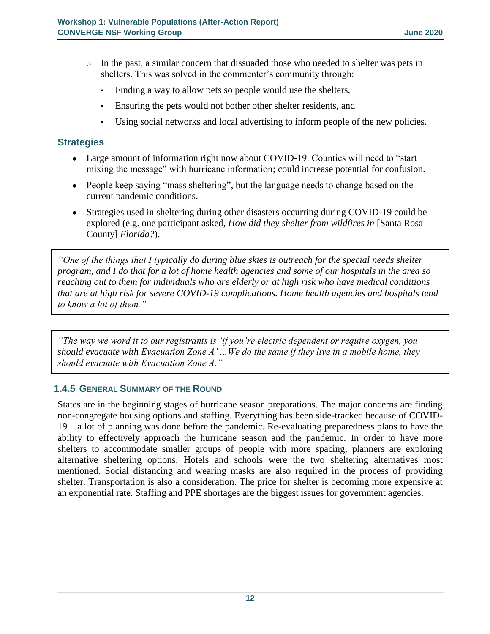- $\circ$  In the past, a similar concern that dissuaded those who needed to shelter was pets in shelters. This was solved in the commenter's community through:
	- Finding a way to allow pets so people would use the shelters,
	- Ensuring the pets would not bother other shelter residents, and
	- Using social networks and local advertising to inform people of the new policies.

#### **Strategies**

- Large amount of information right now about COVID-19. Counties will need to "start" mixing the message" with hurricane information; could increase potential for confusion.
- People keep saying "mass sheltering", but the language needs to change based on the current pandemic conditions.
- Strategies used in sheltering during other disasters occurring during COVID-19 could be explored (e.g. one participant asked, *How did they shelter from wildfires in* [Santa Rosa County] *Florida?*).

*"One of the things that I typically do during blue skies is outreach for the special needs shelter program, and I do that for a lot of home health agencies and some of our hospitals in the area so reaching out to them for individuals who are elderly or at high risk who have medical conditions that are at high risk for severe COVID-19 complications. Home health agencies and hospitals tend to know a lot of them."*

*"The way we word it to our registrants is 'if you're electric dependent or require oxygen, you should evacuate with Evacuation Zone A' ...We do the same if they live in a mobile home, they should evacuate with Evacuation Zone A."*

#### **1.4.5 GENERAL SUMMARY OF THE ROUND**

States are in the beginning stages of hurricane season preparations. The major concerns are finding non-congregate housing options and staffing. Everything has been side-tracked because of COVID-19 – a lot of planning was done before the pandemic. Re-evaluating preparedness plans to have the ability to effectively approach the hurricane season and the pandemic. In order to have more shelters to accommodate smaller groups of people with more spacing, planners are exploring alternative sheltering options. Hotels and schools were the two sheltering alternatives most mentioned. Social distancing and wearing masks are also required in the process of providing shelter. Transportation is also a consideration. The price for shelter is becoming more expensive at an exponential rate. Staffing and PPE shortages are the biggest issues for government agencies.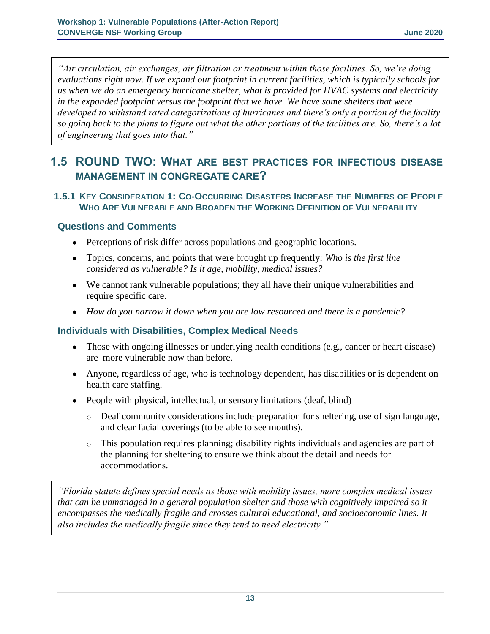*"Air circulation, air exchanges, air filtration or treatment within those facilities. So, we're doing evaluations right now. If we expand our footprint in current facilities, which is typically schools for us when we do an emergency hurricane shelter, what is provided for HVAC systems and electricity in the expanded footprint versus the footprint that we have. We have some shelters that were developed to withstand rated categorizations of hurricanes and there's only a portion of the facility so going back to the plans to figure out what the other portions of the facilities are. So, there's a lot of engineering that goes into that."*

# **1.5 ROUND TWO: WHAT ARE BEST PRACTICES FOR INFECTIOUS DISEASE MANAGEMENT IN CONGREGATE CARE?**

#### **1.5.1 KEY CONSIDERATION 1: CO-OCCURRING DISASTERS INCREASE THE NUMBERS OF PEOPLE WHO ARE VULNERABLE AND BROADEN THE WORKING DEFINITION OF VULNERABILITY**

### **Questions and Comments**

- Perceptions of risk differ across populations and geographic locations.
- Topics, concerns, and points that were brought up frequently: *Who is the first line considered as vulnerable? Is it age, mobility, medical issues?*
- We cannot rank vulnerable populations; they all have their unique vulnerabilities and require specific care.
- *How do you narrow it down when you are low resourced and there is a pandemic?*

# **Individuals with Disabilities, Complex Medical Needs**

- Those with ongoing illnesses or underlying health conditions (e.g., cancer or heart disease) are more vulnerable now than before.
- Anyone, regardless of age, who is technology dependent, has disabilities or is dependent on health care staffing.
- People with physical, intellectual, or sensory limitations (deaf, blind)
	- o Deaf community considerations include preparation for sheltering, use of sign language, and clear facial coverings (to be able to see mouths).
	- o This population requires planning; disability rights individuals and agencies are part of the planning for sheltering to ensure we think about the detail and needs for accommodations.

*"Florida statute defines special needs as those with mobility issues, more complex medical issues that can be unmanaged in a general population shelter and those with cognitively impaired so it encompasses the medically fragile and crosses cultural educational, and socioeconomic lines. It also includes the medically fragile since they tend to need electricity."*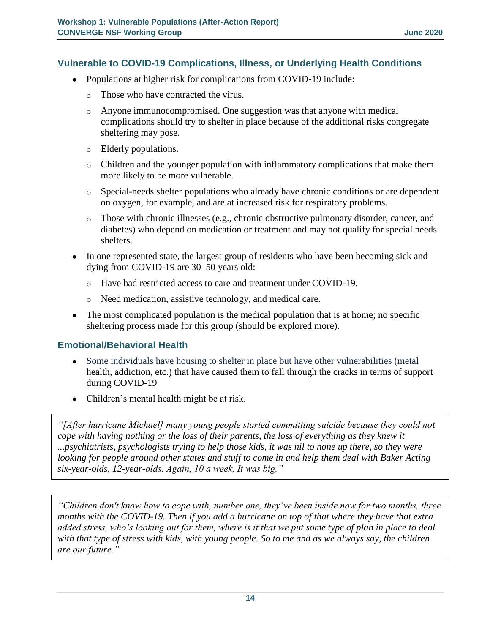#### **Vulnerable to COVID-19 Complications, Illness, or Underlying Health Conditions**

- Populations at higher risk for complications from COVID-19 include:
	- o Those who have contracted the virus.
	- $\circ$  Anyone immunocompromised. One suggestion was that anyone with medical complications should try to shelter in place because of the additional risks congregate sheltering may pose.
	- o Elderly populations.
	- o Children and the younger population with inflammatory complications that make them more likely to be more vulnerable.
	- o Special-needs shelter populations who already have chronic conditions or are dependent on oxygen, for example, and are at increased risk for respiratory problems.
	- $\circ$  Those with chronic illnesses (e.g., chronic obstructive pulmonary disorder, cancer, and diabetes) who depend on medication or treatment and may not qualify for special needs shelters.
- In one represented state, the largest group of residents who have been becoming sick and dying from COVID-19 are 30–50 years old:
	- o Have had restricted access to care and treatment under COVID-19.
	- o Need medication, assistive technology, and medical care.
- The most complicated population is the medical population that is at home; no specific sheltering process made for this group (should be explored more).

#### **Emotional/Behavioral Health**

- Some individuals have housing to shelter in place but have other vulnerabilities (metal health, addiction, etc.) that have caused them to fall through the cracks in terms of support during COVID-19
- Children's mental health might be at risk.

*"[After hurricane Michael] many young people started committing suicide because they could not cope with having nothing or the loss of their parents, the loss of everything as they knew it ...psychiatrists, psychologists trying to help those kids, it was nil to none up there, so they were looking for people around other states and stuff to come in and help them deal with Baker Acting six-year-olds, 12-year-olds. Again, 10 a week. It was big."*

*"Children don't know how to cope with, number one, they've been inside now for two months, three months with the COVID-19. Then if you add a hurricane on top of that where they have that extra added stress, who's looking out for them, where is it that we put some type of plan in place to deal with that type of stress with kids, with young people. So to me and as we always say, the children are our future."*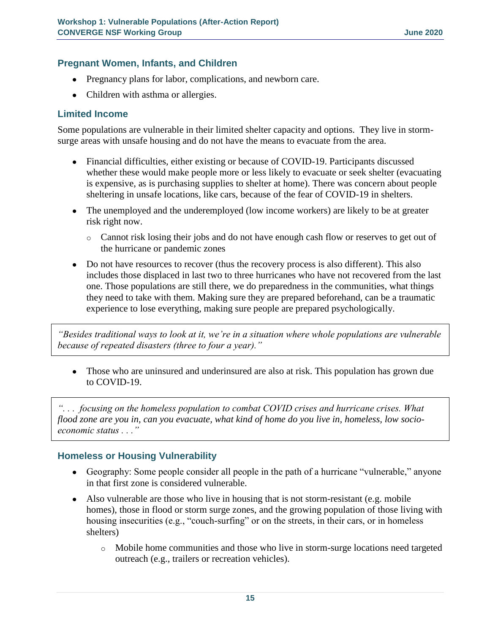#### **Pregnant Women, Infants, and Children**

- Pregnancy plans for labor, complications, and newborn care.
- Children with asthma or allergies.

#### **Limited Income**

Some populations are vulnerable in their limited shelter capacity and options. They live in stormsurge areas with unsafe housing and do not have the means to evacuate from the area.

- Financial difficulties, either existing or because of COVID-19. Participants discussed whether these would make people more or less likely to evacuate or seek shelter (evacuating is expensive, as is purchasing supplies to shelter at home). There was concern about people sheltering in unsafe locations, like cars, because of the fear of COVID-19 in shelters.
- The unemployed and the underemployed (low income workers) are likely to be at greater risk right now.
	- o Cannot risk losing their jobs and do not have enough cash flow or reserves to get out of the hurricane or pandemic zones
- Do not have resources to recover (thus the recovery process is also different). This also includes those displaced in last two to three hurricanes who have not recovered from the last one. Those populations are still there, we do preparedness in the communities, what things they need to take with them. Making sure they are prepared beforehand, can be a traumatic experience to lose everything, making sure people are prepared psychologically.

*"Besides traditional ways to look at it, we're in a situation where whole populations are vulnerable because of repeated disasters (three to four a year)."*

• Those who are uninsured and underinsured are also at risk. This population has grown due to COVID-19.

*". . . focusing on the homeless population to combat COVID crises and hurricane crises. What flood zone are you in, can you evacuate, what kind of home do you live in, homeless, low socioeconomic status . . ."*

#### **Homeless or Housing Vulnerability**

- Geography: Some people consider all people in the path of a hurricane "vulnerable," anyone in that first zone is considered vulnerable.
- Also vulnerable are those who live in housing that is not storm-resistant (e.g. mobile homes), those in flood or storm surge zones, and the growing population of those living with housing insecurities (e.g., "couch-surfing" or on the streets, in their cars, or in homeless shelters)
	- o Mobile home communities and those who live in storm-surge locations need targeted outreach (e.g., trailers or recreation vehicles).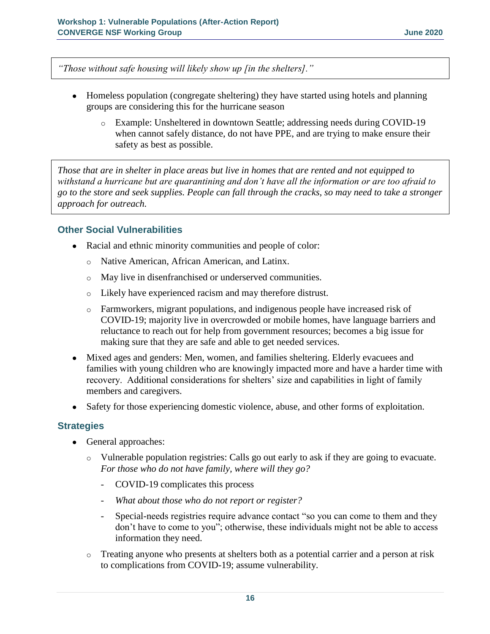*"Those without safe housing will likely show up [in the shelters]."*

- Homeless population (congregate sheltering) they have started using hotels and planning groups are considering this for the hurricane season
	- o Example: Unsheltered in downtown Seattle; addressing needs during COVID-19 when cannot safely distance, do not have PPE, and are trying to make ensure their safety as best as possible.

*Those that are in shelter in place areas but live in homes that are rented and not equipped to withstand a hurricane but are quarantining and don't have all the information or are too afraid to go to the store and seek supplies. People can fall through the cracks, so may need to take a stronger approach for outreach.*

#### **Other Social Vulnerabilities**

- Racial and ethnic minority communities and people of color:
	- o Native American, African American, and Latinx.
	- o May live in disenfranchised or underserved communities.
	- o Likely have experienced racism and may therefore distrust.
	- o Farmworkers, migrant populations, and indigenous people have increased risk of COVID-19; majority live in overcrowded or mobile homes, have language barriers and reluctance to reach out for help from government resources; becomes a big issue for making sure that they are safe and able to get needed services.
- Mixed ages and genders: Men, women, and families sheltering. Elderly evacuees and families with young children who are knowingly impacted more and have a harder time with recovery. Additional considerations for shelters' size and capabilities in light of family members and caregivers.
- Safety for those experiencing domestic violence, abuse, and other forms of exploitation.

#### **Strategies**

- General approaches:
	- o Vulnerable population registries: Calls go out early to ask if they are going to evacuate. *For those who do not have family, where will they go?*
		- COVID-19 complicates this process
		- *What about those who do not report or register?*
		- Special-needs registries require advance contact "so you can come to them and they don't have to come to you"; otherwise, these individuals might not be able to access information they need.
	- o Treating anyone who presents at shelters both as a potential carrier and a person at risk to complications from COVID-19; assume vulnerability.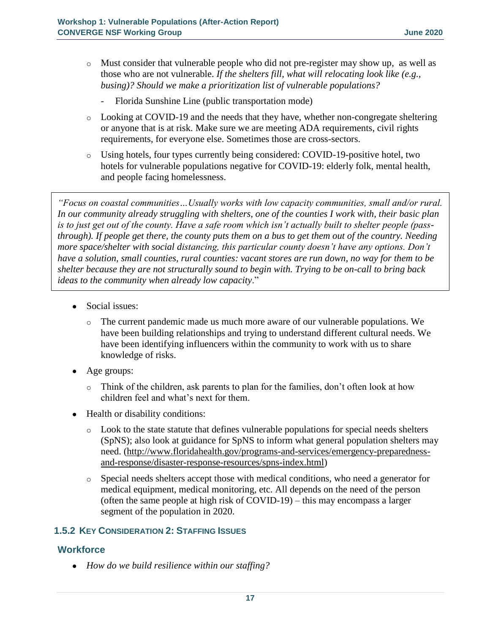- $\circ$  Must consider that vulnerable people who did not pre-register may show up, as well as those who are not vulnerable. *If the shelters fill, what will relocating look like (e.g., busing)? Should we make a prioritization list of vulnerable populations?*
	- Florida Sunshine Line (public transportation mode)
- o Looking at COVID-19 and the needs that they have, whether non-congregate sheltering or anyone that is at risk. Make sure we are meeting ADA requirements, civil rights requirements, for everyone else. Sometimes those are cross-sectors.
- o Using hotels, four types currently being considered: COVID-19-positive hotel, two hotels for vulnerable populations negative for COVID-19: elderly folk, mental health, and people facing homelessness.

*"Focus on coastal communities…Usually works with low capacity communities, small and/or rural. In our community already struggling with shelters, one of the counties I work with, their basic plan is to just get out of the county. Have a safe room which isn't actually built to shelter people (passthrough). If people get there, the county puts them on a bus to get them out of the country. Needing more space/shelter with social distancing, this particular county doesn't have any options. Don't have a solution, small counties, rural counties: vacant stores are run down, no way for them to be shelter because they are not structurally sound to begin with. Trying to be on-call to bring back ideas to the community when already low capacity*."

- Social issues:
	- $\circ$  The current pandemic made us much more aware of our vulnerable populations. We have been building relationships and trying to understand different cultural needs. We have been identifying influencers within the community to work with us to share knowledge of risks.
- Age groups:
	- $\circ$  Think of the children, ask parents to plan for the families, don't often look at how children feel and what's next for them.
- Health or disability conditions:
	- $\circ$  Look to the state statute that defines vulnerable populations for special needs shelters (SpNS); also look at guidance for SpNS to inform what general population shelters may need. [\(http://www.floridahealth.gov/programs-and-services/emergency-preparedness](http://www.floridahealth.gov/programs-and-services/emergency-preparedness-and-response/disaster-response-resources/spns-index.html)[and-response/disaster-response-resources/spns-index.html\)](http://www.floridahealth.gov/programs-and-services/emergency-preparedness-and-response/disaster-response-resources/spns-index.html)
	- o Special needs shelters accept those with medical conditions, who need a generator for medical equipment, medical monitoring, etc. All depends on the need of the person (often the same people at high risk of COVID-19) – this may encompass a larger segment of the population in 2020.

#### **1.5.2 KEY CONSIDERATION 2: STAFFING ISSUES**

#### **Workforce**

● *How do we build resilience within our staffing?*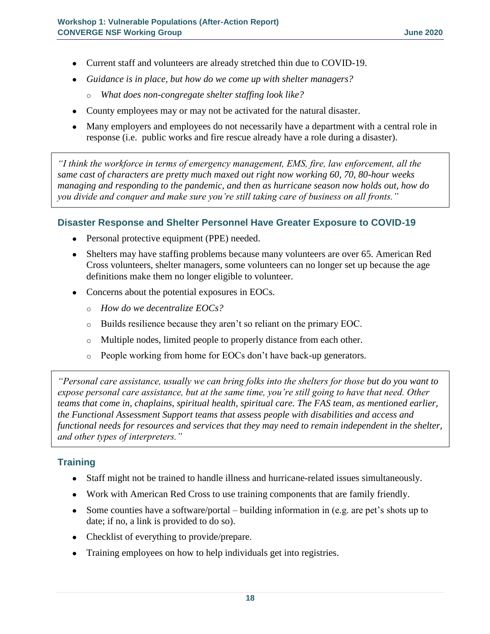- Current staff and volunteers are already stretched thin due to COVID-19.
- *Guidance is in place, but how do we come up with shelter managers?*
	- o *What does non-congregate shelter staffing look like?*
- County employees may or may not be activated for the natural disaster.
- Many employers and employees do not necessarily have a department with a central role in response (i.e. public works and fire rescue already have a role during a disaster).

*"I think the workforce in terms of emergency management, EMS, fire, law enforcement, all the same cast of characters are pretty much maxed out right now working 60, 70, 80-hour weeks managing and responding to the pandemic, and then as hurricane season now holds out, how do you divide and conquer and make sure you're still taking care of business on all fronts."*

#### **Disaster Response and Shelter Personnel Have Greater Exposure to COVID-19**

- Personal protective equipment (PPE) needed.
- Shelters may have staffing problems because many volunteers are over 65. American Red Cross volunteers, shelter managers, some volunteers can no longer set up because the age definitions make them no longer eligible to volunteer.
- Concerns about the potential exposures in EOCs.
	- o *How do we decentralize EOCs?*
	- o Builds resilience because they aren't so reliant on the primary EOC.
	- o Multiple nodes, limited people to properly distance from each other.
	- o People working from home for EOCs don't have back-up generators.

*"Personal care assistance, usually we can bring folks into the shelters for those but do you want to expose personal care assistance, but at the same time, you're still going to have that need. Other teams that come in, chaplains, spiritual health, spiritual care. The FAS team, as mentioned earlier, the Functional Assessment Support teams that assess people with disabilities and access and functional needs for resources and services that they may need to remain independent in the shelter, and other types of interpreters."*

#### **Training**

- Staff might not be trained to handle illness and hurricane-related issues simultaneously.
- Work with American Red Cross to use training components that are family friendly.
- Some counties have a software/portal building information in (e.g. are pet's shots up to date; if no, a link is provided to do so).
- Checklist of everything to provide/prepare.
- Training employees on how to help individuals get into registries.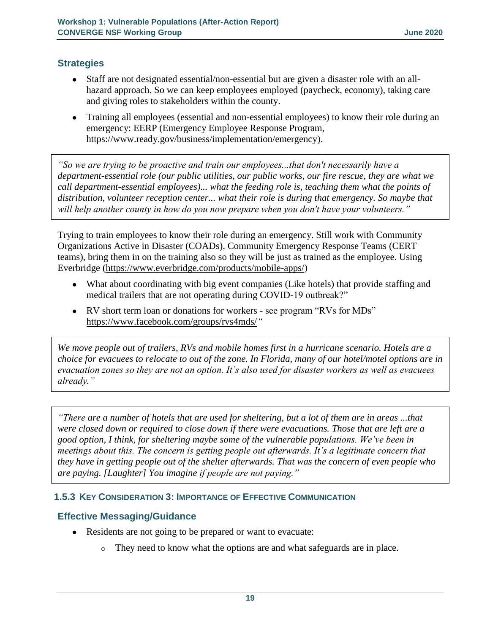### **Strategies**

- Staff are not designated essential/non-essential but are given a disaster role with an allhazard approach. So we can keep employees employed (paycheck, economy), taking care and giving roles to stakeholders within the county.
- Training all employees (essential and non-essential employees) to know their role during an emergency: EERP (Emergency Employee Response Program, [https://www.ready.gov/business/implementation/emergency\)](https://www.ready.gov/business/implementation/emergency).

*"So we are trying to be proactive and train our employees...that don't necessarily have a department-essential role (our public utilities, our public works, our fire rescue, they are what we call department-essential employees)... what the feeding role is, teaching them what the points of distribution, volunteer reception center... what their role is during that emergency. So maybe that will help another county in how do you now prepare when you don't have your volunteers."*

Trying to train employees to know their role during an emergency. Still work with Community Organizations Active in Disaster (COADs), Community Emergency Response Teams (CERT teams), bring them in on the training also so they will be just as trained as the employee. Using Everbridge [\(https://www.everbridge.com/products/mobile-apps/\)](https://www.everbridge.com/products/mobile-apps/)

- What about coordinating with big event companies (Like hotels) that provide staffing and medical trailers that are not operating during COVID-19 outbreak?"
- RV short term loan or donations for workers see program "RVs for MDs" <https://www.facebook.com/groups/rvs4mds/>*"*

*We move people out of trailers, RVs and mobile homes first in a hurricane scenario. Hotels are a choice for evacuees to relocate to out of the zone. In Florida, many of our hotel/motel options are in evacuation zones so they are not an option. It's also used for disaster workers as well as evacuees already."*

*"There are a number of hotels that are used for sheltering, but a lot of them are in areas ...that were closed down or required to close down if there were evacuations. Those that are left are a good option, I think, for sheltering maybe some of the vulnerable populations. We've been in meetings about this. The concern is getting people out afterwards. It's a legitimate concern that they have in getting people out of the shelter afterwards. That was the concern of even people who are paying. [Laughter] You imagine if people are not paying."*

# **1.5.3 KEY CONSIDERATION 3: IMPORTANCE OF EFFECTIVE COMMUNICATION**

#### **Effective Messaging/Guidance**

- Residents are not going to be prepared or want to evacuate:
	- o They need to know what the options are and what safeguards are in place.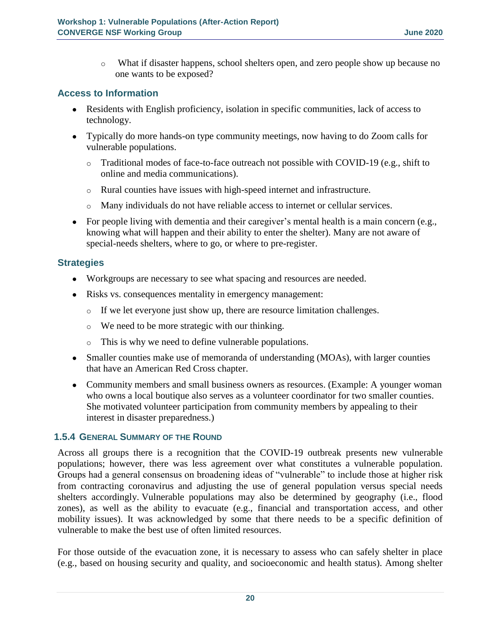o What if disaster happens, school shelters open, and zero people show up because no one wants to be exposed?

#### **Access to Information**

- Residents with English proficiency, isolation in specific communities, lack of access to technology.
- Typically do more hands-on type community meetings, now having to do Zoom calls for vulnerable populations.
	- $\circ$  Traditional modes of face-to-face outreach not possible with COVID-19 (e.g., shift to online and media communications).
	- o Rural counties have issues with high-speed internet and infrastructure.
	- o Many individuals do not have reliable access to internet or cellular services.
- For people living with dementia and their caregiver's mental health is a main concern (e.g., knowing what will happen and their ability to enter the shelter). Many are not aware of special-needs shelters, where to go, or where to pre-register.

#### **Strategies**

- Workgroups are necessary to see what spacing and resources are needed.
- Risks vs. consequences mentality in emergency management:
	- o If we let everyone just show up, there are resource limitation challenges.
	- o We need to be more strategic with our thinking.
	- o This is why we need to define vulnerable populations.
- Smaller counties make use of memoranda of understanding (MOAs), with larger counties that have an American Red Cross chapter.
- Community members and small business owners as resources. (Example: A younger woman who owns a local boutique also serves as a volunteer coordinator for two smaller counties. She motivated volunteer participation from community members by appealing to their interest in disaster preparedness.)

#### **1.5.4 GENERAL SUMMARY OF THE ROUND**

Across all groups there is a recognition that the COVID-19 outbreak presents new vulnerable populations; however, there was less agreement over what constitutes a vulnerable population. Groups had a general consensus on broadening ideas of "vulnerable" to include those at higher risk from contracting coronavirus and adjusting the use of general population versus special needs shelters accordingly. Vulnerable populations may also be determined by geography (i.e., flood zones), as well as the ability to evacuate (e.g., financial and transportation access, and other mobility issues). It was acknowledged by some that there needs to be a specific definition of vulnerable to make the best use of often limited resources.

For those outside of the evacuation zone, it is necessary to assess who can safely shelter in place (e.g., based on housing security and quality, and socioeconomic and health status). Among shelter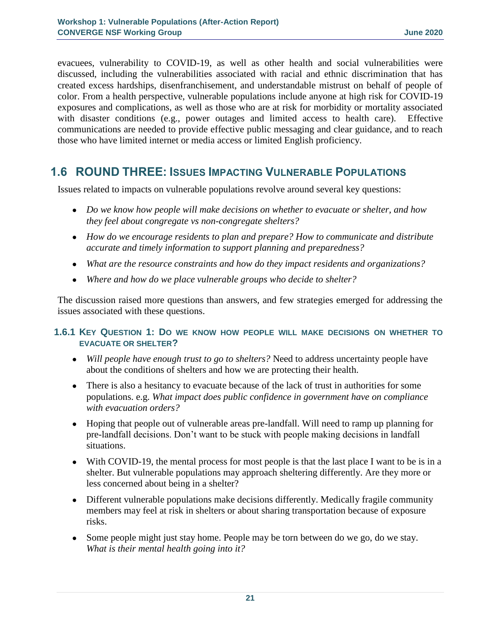evacuees, vulnerability to COVID-19, as well as other health and social vulnerabilities were discussed, including the vulnerabilities associated with racial and ethnic discrimination that has created excess hardships, disenfranchisement, and understandable mistrust on behalf of people of color. From a health perspective, vulnerable populations include anyone at high risk for COVID-19 exposures and complications, as well as those who are at risk for morbidity or mortality associated with disaster conditions (e.g., power outages and limited access to health care). Effective communications are needed to provide effective public messaging and clear guidance, and to reach those who have limited internet or media access or limited English proficiency.

# **1.6 ROUND THREE: ISSUES IMPACTING VULNERABLE POPULATIONS**

Issues related to impacts on vulnerable populations revolve around several key questions:

- *Do we know how people will make decisions on whether to evacuate or shelter, and how they feel about congregate vs non-congregate shelters?*
- *How do we encourage residents to plan and prepare? How to communicate and distribute accurate and timely information to support planning and preparedness?*
- *What are the resource constraints and how do they impact residents and organizations?*
- *Where and how do we place vulnerable groups who decide to shelter?*

The discussion raised more questions than answers, and few strategies emerged for addressing the issues associated with these questions.

#### **1.6.1 KEY QUESTION 1: DO WE KNOW HOW PEOPLE WILL MAKE DECISIONS ON WHETHER TO EVACUATE OR SHELTER?**

- *Will people have enough trust to go to shelters?* Need to address uncertainty people have about the conditions of shelters and how we are protecting their health.
- There is also a hesitancy to evacuate because of the lack of trust in authorities for some populations. e.g. *What impact does public confidence in government have on compliance with evacuation orders?*
- Hoping that people out of vulnerable areas pre-landfall. Will need to ramp up planning for pre-landfall decisions. Don't want to be stuck with people making decisions in landfall situations.
- With COVID-19, the mental process for most people is that the last place I want to be is in a shelter. But vulnerable populations may approach sheltering differently. Are they more or less concerned about being in a shelter?
- Different vulnerable populations make decisions differently. Medically fragile community members may feel at risk in shelters or about sharing transportation because of exposure risks.
- Some people might just stay home. People may be torn between do we go, do we stay. *What is their mental health going into it?*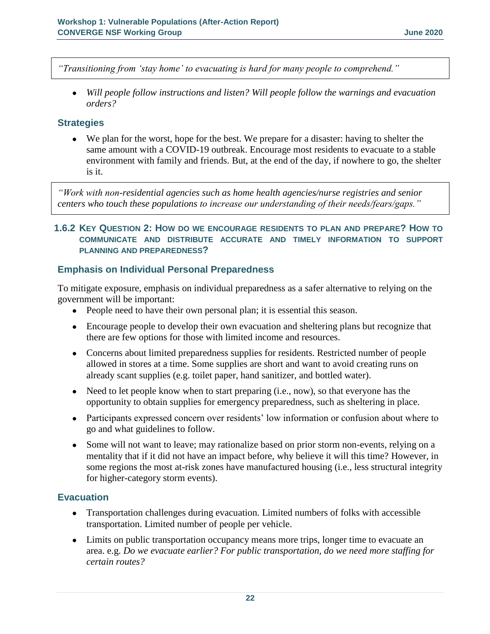*"Transitioning from 'stay home' to evacuating is hard for many people to comprehend."*

● *Will people follow instructions and listen? Will people follow the warnings and evacuation orders?*

#### **Strategies**

● We plan for the worst, hope for the best. We prepare for a disaster: having to shelter the same amount with a COVID-19 outbreak. Encourage most residents to evacuate to a stable environment with family and friends. But, at the end of the day, if nowhere to go, the shelter is it.

*"Work with non-residential agencies such as home health agencies/nurse registries and senior centers who touch these populations to increase our understanding of their needs/fears/gaps."*

#### **1.6.2 KEY QUESTION 2: HOW DO WE ENCOURAGE RESIDENTS TO PLAN AND PREPARE? HOW TO COMMUNICATE AND DISTRIBUTE ACCURATE AND TIMELY INFORMATION TO SUPPORT PLANNING AND PREPAREDNESS?**

#### **Emphasis on Individual Personal Preparedness**

To mitigate exposure, emphasis on individual preparedness as a safer alternative to relying on the government will be important:

- People need to have their own personal plan; it is essential this season.
- Encourage people to develop their own evacuation and sheltering plans but recognize that there are few options for those with limited income and resources.
- Concerns about limited preparedness supplies for residents. Restricted number of people allowed in stores at a time. Some supplies are short and want to avoid creating runs on already scant supplies (e.g. toilet paper, hand sanitizer, and bottled water).
- Need to let people know when to start preparing (i.e., now), so that everyone has the opportunity to obtain supplies for emergency preparedness, such as sheltering in place.
- Participants expressed concern over residents' low information or confusion about where to go and what guidelines to follow.
- Some will not want to leave; may rationalize based on prior storm non-events, relying on a mentality that if it did not have an impact before, why believe it will this time? However, in some regions the most at-risk zones have manufactured housing (i.e., less structural integrity for higher-category storm events).

#### **Evacuation**

- Transportation challenges during evacuation. Limited numbers of folks with accessible transportation. Limited number of people per vehicle.
- Limits on public transportation occupancy means more trips, longer time to evacuate an area. e.g. *Do we evacuate earlier? For public transportation, do we need more staffing for certain routes?*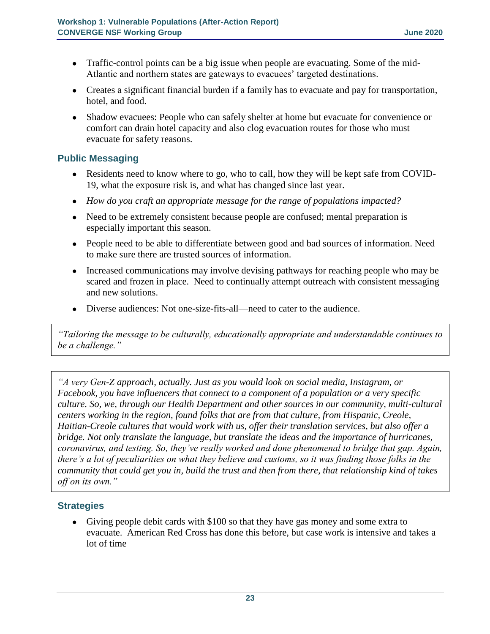- Traffic-control points can be a big issue when people are evacuating. Some of the mid-Atlantic and northern states are gateways to evacuees' targeted destinations.
- Creates a significant financial burden if a family has to evacuate and pay for transportation, hotel, and food.
- Shadow evacuees: People who can safely shelter at home but evacuate for convenience or comfort can drain hotel capacity and also clog evacuation routes for those who must evacuate for safety reasons.

### **Public Messaging**

- Residents need to know where to go, who to call, how they will be kept safe from COVID-19, what the exposure risk is, and what has changed since last year.
- *How do you craft an appropriate message for the range of populations impacted?*
- Need to be extremely consistent because people are confused; mental preparation is especially important this season.
- People need to be able to differentiate between good and bad sources of information. Need to make sure there are trusted sources of information.
- Increased communications may involve devising pathways for reaching people who may be scared and frozen in place. Need to continually attempt outreach with consistent messaging and new solutions.
- Diverse audiences: Not one-size-fits-all—need to cater to the audience.

*"Tailoring the message to be culturally, educationally appropriate and understandable continues to be a challenge."*

*"A very Gen-Z approach, actually. Just as you would look on social media, Instagram, or Facebook, you have influencers that connect to a component of a population or a very specific culture. So, we, through our Health Department and other sources in our community, multi-cultural centers working in the region, found folks that are from that culture, from Hispanic, Creole, Haitian-Creole cultures that would work with us, offer their translation services, but also offer a bridge. Not only translate the language, but translate the ideas and the importance of hurricanes, coronavirus, and testing. So, they've really worked and done phenomenal to bridge that gap. Again, there's a lot of peculiarities on what they believe and customs, so it was finding those folks in the community that could get you in, build the trust and then from there, that relationship kind of takes off on its own."*

#### **Strategies**

● Giving people debit cards with \$100 so that they have gas money and some extra to evacuate. American Red Cross has done this before, but case work is intensive and takes a lot of time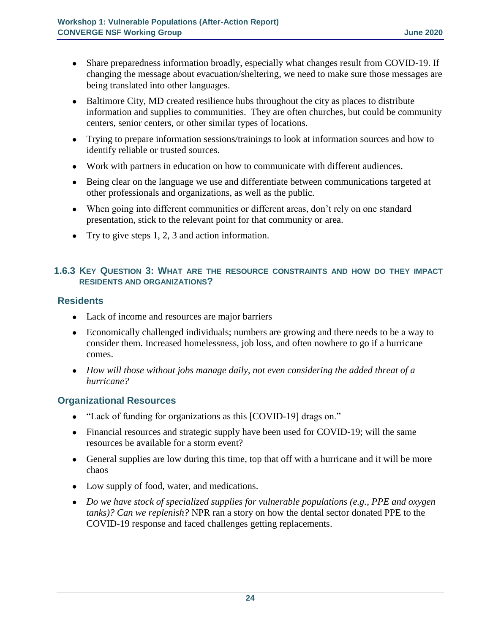- Share preparedness information broadly, especially what changes result from COVID-19. If changing the message about evacuation/sheltering, we need to make sure those messages are being translated into other languages.
- Baltimore City, MD created resilience hubs throughout the city as places to distribute information and supplies to communities. They are often churches, but could be community centers, senior centers, or other similar types of locations.
- Trying to prepare information sessions/trainings to look at information sources and how to identify reliable or trusted sources.
- Work with partners in education on how to communicate with different audiences.
- Being clear on the language we use and differentiate between communications targeted at other professionals and organizations, as well as the public.
- When going into different communities or different areas, don't rely on one standard presentation, stick to the relevant point for that community or area.
- Try to give steps  $1, 2, 3$  and action information.

#### **1.6.3 KEY QUESTION 3: WHAT ARE THE RESOURCE CONSTRAINTS AND HOW DO THEY IMPACT RESIDENTS AND ORGANIZATIONS?**

#### **Residents**

- Lack of income and resources are major barriers
- Economically challenged individuals; numbers are growing and there needs to be a way to consider them. Increased homelessness, job loss, and often nowhere to go if a hurricane comes.
- *How will those without jobs manage daily, not even considering the added threat of a hurricane?*

#### **Organizational Resources**

- "Lack of funding for organizations as this [COVID-19] drags on."
- Financial resources and strategic supply have been used for COVID-19; will the same resources be available for a storm event?
- General supplies are low during this time, top that off with a hurricane and it will be more chaos
- Low supply of food, water, and medications.
- *Do we have stock of specialized supplies for vulnerable populations (e.g., PPE and oxygen tanks)? Can we replenish?* NPR ran a story on how the dental sector donated PPE to the COVID-19 response and faced challenges getting replacements.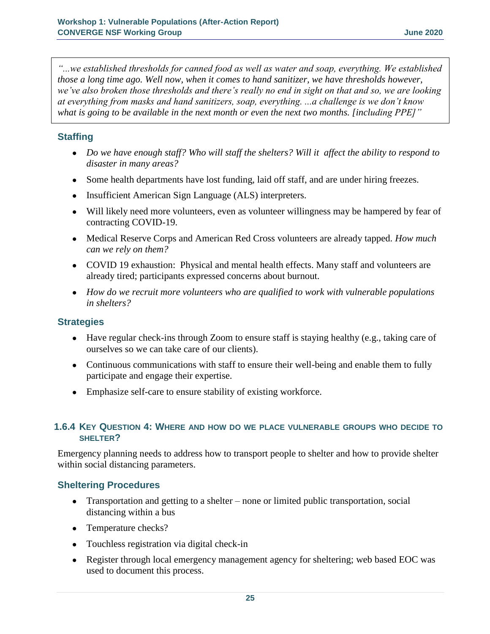*"...we established thresholds for canned food as well as water and soap, everything. We established those a long time ago. Well now, when it comes to hand sanitizer, we have thresholds however, we've also broken those thresholds and there's really no end in sight on that and so, we are looking at everything from masks and hand sanitizers, soap, everything. ...a challenge is we don't know what is going to be available in the next month or even the next two months. [including PPE]"*

#### **Staffing**

- *Do we have enough staff? Who will staff the shelters? Will it affect the ability to respond to disaster in many areas?*
- Some health departments have lost funding, laid off staff, and are under hiring freezes.
- Insufficient American Sign Language (ALS) interpreters.
- Will likely need more volunteers, even as volunteer willingness may be hampered by fear of contracting COVID-19.
- Medical Reserve Corps and American Red Cross volunteers are already tapped. *How much can we rely on them?*
- COVID 19 exhaustion: Physical and mental health effects. Many staff and volunteers are already tired; participants expressed concerns about burnout.
- *How do we recruit more volunteers who are qualified to work with vulnerable populations in shelters?*

#### **Strategies**

- Have regular check-ins through Zoom to ensure staff is staying healthy (e.g., taking care of ourselves so we can take care of our clients).
- Continuous communications with staff to ensure their well-being and enable them to fully participate and engage their expertise.
- Emphasize self-care to ensure stability of existing workforce.

#### **1.6.4 KEY QUESTION 4: WHERE AND HOW DO WE PLACE VULNERABLE GROUPS WHO DECIDE TO SHELTER?**

Emergency planning needs to address how to transport people to shelter and how to provide shelter within social distancing parameters.

#### **Sheltering Procedures**

- Transportation and getting to a shelter none or limited public transportation, social distancing within a bus
- Temperature checks?
- Touchless registration via digital check-in
- Register through local emergency management agency for sheltering; web based EOC was used to document this process.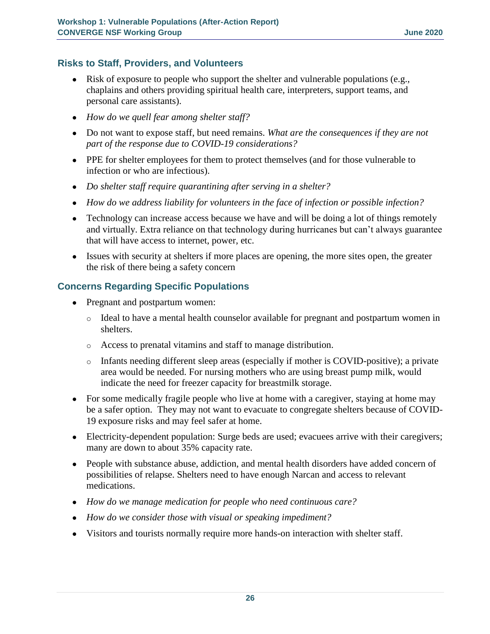#### **Risks to Staff, Providers, and Volunteers**

- Risk of exposure to people who support the shelter and vulnerable populations (e.g., chaplains and others providing spiritual health care, interpreters, support teams, and personal care assistants).
- *How do we quell fear among shelter staff?*
- Do not want to expose staff, but need remains. *What are the consequences if they are not part of the response due to COVID-19 considerations?*
- PPE for shelter employees for them to protect themselves (and for those vulnerable to infection or who are infectious).
- *Do shelter staff require quarantining after serving in a shelter?*
- *How do we address liability for volunteers in the face of infection or possible infection?*
- Technology can increase access because we have and will be doing a lot of things remotely and virtually. Extra reliance on that technology during hurricanes but can't always guarantee that will have access to internet, power, etc.
- Issues with security at shelters if more places are opening, the more sites open, the greater the risk of there being a safety concern

# **Concerns Regarding Specific Populations**

- Pregnant and postpartum women:
	- o Ideal to have a mental health counselor available for pregnant and postpartum women in shelters.
	- o Access to prenatal vitamins and staff to manage distribution.
	- o Infants needing different sleep areas (especially if mother is COVID-positive); a private area would be needed. For nursing mothers who are using breast pump milk, would indicate the need for freezer capacity for breastmilk storage.
- For some medically fragile people who live at home with a caregiver, staying at home may be a safer option. They may not want to evacuate to congregate shelters because of COVID-19 exposure risks and may feel safer at home.
- Electricity-dependent population: Surge beds are used; evacuees arrive with their caregivers; many are down to about 35% capacity rate.
- People with substance abuse, addiction, and mental health disorders have added concern of possibilities of relapse. Shelters need to have enough Narcan and access to relevant medications.
- *How do we manage medication for people who need continuous care?*
- *How do we consider those with visual or speaking impediment?*
- Visitors and tourists normally require more hands-on interaction with shelter staff.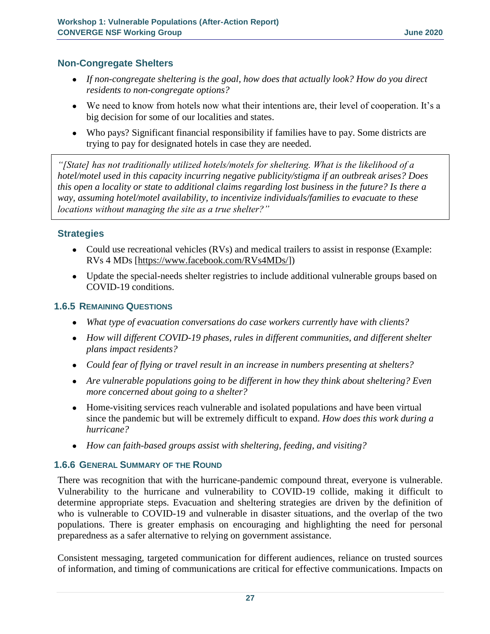#### **Non-Congregate Shelters**

- If non-congregate sheltering is the goal, how does that actually look? How do you direct *residents to non-congregate options?*
- We need to know from hotels now what their intentions are, their level of cooperation. It's a big decision for some of our localities and states.
- Who pays? Significant financial responsibility if families have to pay. Some districts are trying to pay for designated hotels in case they are needed.

*"[State] has not traditionally utilized hotels/motels for sheltering. What is the likelihood of a hotel/motel used in this capacity incurring negative publicity/stigma if an outbreak arises? Does this open a locality or state to additional claims regarding lost business in the future? Is there a way, assuming hotel/motel availability, to incentivize individuals/families to evacuate to these locations without managing the site as a true shelter?"*

#### **Strategies**

- Could use recreational vehicles (RVs) and medical trailers to assist in response (Example: RVs 4 MDs [\[https://www.facebook.com/RVs4MDs/\]](https://www.facebook.com/RVs4MDs/))
- Update the special-needs shelter registries to include additional vulnerable groups based on COVID-19 conditions.

#### **1.6.5 REMAINING QUESTIONS**

- *What type of evacuation conversations do case workers currently have with clients?*
- *How will different COVID-19 phases, rules in different communities, and different shelter plans impact residents?*
- *Could fear of flying or travel result in an increase in numbers presenting at shelters?*
- *Are vulnerable populations going to be different in how they think about sheltering? Even more concerned about going to a shelter?*
- Home-visiting services reach vulnerable and isolated populations and have been virtual since the pandemic but will be extremely difficult to expand. *How does this work during a hurricane?*
- *How can faith-based groups assist with sheltering, feeding, and visiting?*

#### **1.6.6 GENERAL SUMMARY OF THE ROUND**

There was recognition that with the hurricane-pandemic compound threat, everyone is vulnerable. Vulnerability to the hurricane and vulnerability to COVID-19 collide, making it difficult to determine appropriate steps. Evacuation and sheltering strategies are driven by the definition of who is vulnerable to COVID-19 and vulnerable in disaster situations, and the overlap of the two populations. There is greater emphasis on encouraging and highlighting the need for personal preparedness as a safer alternative to relying on government assistance.

Consistent messaging, targeted communication for different audiences, reliance on trusted sources of information, and timing of communications are critical for effective communications. Impacts on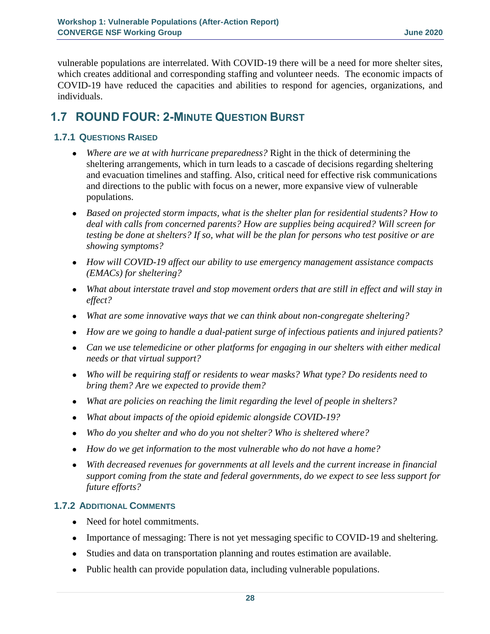vulnerable populations are interrelated. With COVID-19 there will be a need for more shelter sites, which creates additional and corresponding staffing and volunteer needs. The economic impacts of COVID-19 have reduced the capacities and abilities to respond for agencies, organizations, and individuals.

# **1.7 ROUND FOUR: 2-MINUTE QUESTION BURST**

# **1.7.1 QUESTIONS RAISED**

- *Where are we at with hurricane preparedness?* Right in the thick of determining the sheltering arrangements, which in turn leads to a cascade of decisions regarding sheltering and evacuation timelines and staffing. Also, critical need for effective risk communications and directions to the public with focus on a newer, more expansive view of vulnerable populations.
- *Based on projected storm impacts, what is the shelter plan for residential students? How to deal with calls from concerned parents? How are supplies being acquired? Will screen for testing be done at shelters? If so, what will be the plan for persons who test positive or are showing symptoms?*
- *How will COVID-19 affect our ability to use emergency management assistance compacts (EMACs) for sheltering?*
- *What about interstate travel and stop movement orders that are still in effect and will stay in effect?*
- *What are some innovative ways that we can think about non-congregate sheltering?*
- *How are we going to handle a dual-patient surge of infectious patients and injured patients?*
- *Can we use telemedicine or other platforms for engaging in our shelters with either medical needs or that virtual support?*
- *Who will be requiring staff or residents to wear masks? What type? Do residents need to bring them? Are we expected to provide them?*
- *What are policies on reaching the limit regarding the level of people in shelters?*
- *What about impacts of the opioid epidemic alongside COVID-19?*
- *Who do you shelter and who do you not shelter? Who is sheltered where?*
- *How do we get information to the most vulnerable who do not have a home?*
- *With decreased revenues for governments at all levels and the current increase in financial support coming from the state and federal governments, do we expect to see less support for future efforts?*

# **1.7.2 ADDITIONAL COMMENTS**

- Need for hotel commitments.
- Importance of messaging: There is not yet messaging specific to COVID-19 and sheltering.
- Studies and data on transportation planning and routes estimation are available.
- Public health can provide population data, including vulnerable populations.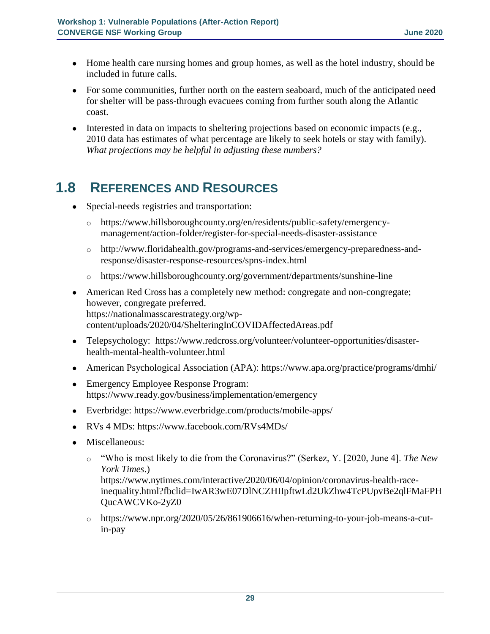- Home health care nursing homes and group homes, as well as the hotel industry, should be included in future calls.
- For some communities, further north on the eastern seaboard, much of the anticipated need for shelter will be pass-through evacuees coming from further south along the Atlantic coast.
- $\bullet$  Interested in data on impacts to sheltering projections based on economic impacts (e.g., 2010 data has estimates of what percentage are likely to seek hotels or stay with family). *What projections may be helpful in adjusting these numbers?*

# **1.8 REFERENCES AND RESOURCES**

- Special-needs registries and transportation:
	- o [https://www.hillsboroughcounty.org/en/residents/public-safety/emergency](https://www.hillsboroughcounty.org/en/residents/public-safety/emergency-management/action-folder/register-for-special-needs-disaster-assistance)[management/action-folder/register-for-special-needs-disaster-assistance](https://www.hillsboroughcounty.org/en/residents/public-safety/emergency-management/action-folder/register-for-special-needs-disaster-assistance)
	- o [http://www.floridahealth.gov/programs-and-services/emergency-preparedness-and](http://www.floridahealth.gov/programs-and-services/emergency-preparedness-and-response/disaster-response-resources/spns-index.html)[response/disaster-response-resources/spns-index.html](http://www.floridahealth.gov/programs-and-services/emergency-preparedness-and-response/disaster-response-resources/spns-index.html)
	- o <https://www.hillsboroughcounty.org/government/departments/sunshine-line>
- American Red Cross has a completely new method: congregate and non-congregate; however, congregate preferred. [https://nationalmasscarestrategy.org/wp](https://nationalmasscarestrategy.org/wp-content/uploads/2020/04/ShelteringInCOVIDAffectedAreas.pdf)[content/uploads/2020/04/ShelteringInCOVIDAffectedAreas.pdf](https://nationalmasscarestrategy.org/wp-content/uploads/2020/04/ShelteringInCOVIDAffectedAreas.pdf)
- Telepsychology: [https://www.redcross.org/volunteer/volunteer-opportunities/disaster](https://www.redcross.org/volunteer/volunteer-opportunities/disaster-health-mental-health-volunteer.html)[health-mental-health-volunteer.html](https://www.redcross.org/volunteer/volunteer-opportunities/disaster-health-mental-health-volunteer.html)
- American Psychological Association (APA):<https://www.apa.org/practice/programs/dmhi/>
- Emergency Employee Response Program: <https://www.ready.gov/business/implementation/emergency>
- Everbridge:<https://www.everbridge.com/products/mobile-apps/>
- RVs 4 MDs:<https://www.facebook.com/RVs4MDs/>
- Miscellaneous:
	- o "Who is most likely to die from the Coronavirus?" (Serkez, Y. [2020, June 4]. *The New York Times*.)

[https://www.nytimes.com/interactive/2020/06/04/opinion/coronavirus-health-race](https://www.nytimes.com/interactive/2020/06/04/opinion/coronavirus-health-race-inequality.html?fbclid=IwAR3wE07DlNCZHIIpftwLd2UkZhw4TcPUpvBe2qlFMaFPHQucAWCVKo-2yZ0)[inequality.html?fbclid=IwAR3wE07DlNCZHIIpftwLd2UkZhw4TcPUpvBe2qlFMaFPH](https://www.nytimes.com/interactive/2020/06/04/opinion/coronavirus-health-race-inequality.html?fbclid=IwAR3wE07DlNCZHIIpftwLd2UkZhw4TcPUpvBe2qlFMaFPHQucAWCVKo-2yZ0) [QucAWCVKo-2yZ0](https://www.nytimes.com/interactive/2020/06/04/opinion/coronavirus-health-race-inequality.html?fbclid=IwAR3wE07DlNCZHIIpftwLd2UkZhw4TcPUpvBe2qlFMaFPHQucAWCVKo-2yZ0)

o [https://www.npr.org/2020/05/26/861906616/when-returning-to-your-job-means-a-cut](https://www.npr.org/2020/05/26/861906616/when-returning-to-your-job-means-a-cut-in-pay)[in-pay](https://www.npr.org/2020/05/26/861906616/when-returning-to-your-job-means-a-cut-in-pay)